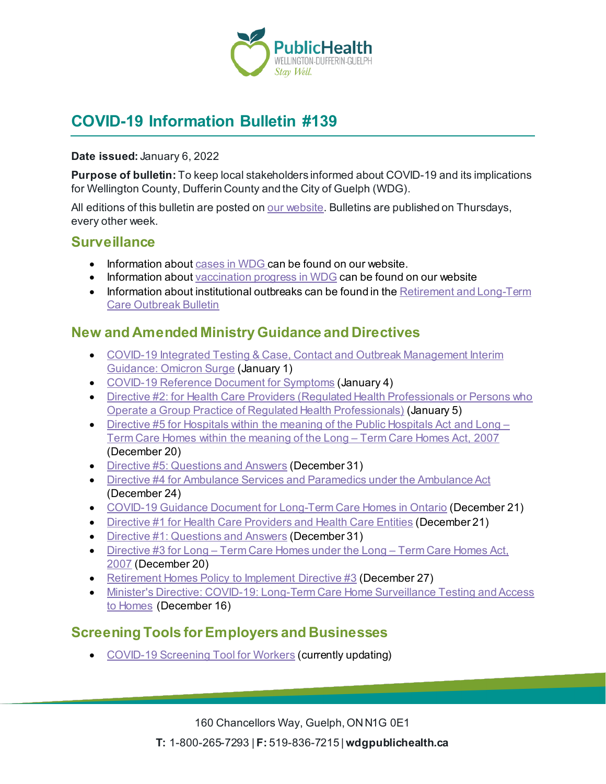

# **COVID-19 Information Bulletin #139**

#### **Date issued:** January 6, 2022

**Purpose of bulletin:** To keep local stakeholders informed about COVID-19 and its implications for Wellington County, Dufferin County and the City of Guelph (WDG).

All editions of this bulletin are posted o[n our website](https://www.wdgpublichealth.ca/your-health/covid-19-information-workplaces-and-living-spaces/community-stakeholder-bulletins). Bulletins are published on Thursdays, every other week.

#### **Surveillance**

- Information about [cases in WDG](https://wdgpublichealth.ca/your-health/covid-19-information-public/status-cases-wdg) can be found on our website.
- Information abou[t vaccination progress](https://www.wdgpublichealth.ca/your-health/covid-19-information-public/covid-19-vaccine-information-public) in WDG can be found on our website
- Information about institutional outbreaks can be found in the Retirement and Long-Term [Care Outbreak Bulletin](https://wdgpublichealth.ca/node/1542)

#### **New and Amended Ministry Guidance and Directives**

- [COVID-19 Integrated Testing & Case, Contact and Outbreak Management Interim](https://www.health.gov.on.ca/en/pro/programs/publichealth/coronavirus/docs/contact_mngmt/management_cases_contacts_omicron.pdf)  [Guidance: Omicron Surge](https://www.health.gov.on.ca/en/pro/programs/publichealth/coronavirus/docs/contact_mngmt/management_cases_contacts_omicron.pdf) (January 1)
- [COVID-19 Reference Document for Symptoms](https://health.gov.on.ca/en/pro/programs/publichealth/coronavirus/docs/2019_reference_doc_symptoms.pdf) (January 4)
- Directive #2: for Health Care Providers (Regulated Health Professionals or Persons who [Operate a Group Practice of Regulated Health Professionals\)](https://www.health.gov.on.ca/en/pro/programs/publichealth/coronavirus/docs/directives/directive_2.pdf) (January 5)
- [Directive #5 for Hospitals within the meaning of the](https://www.health.gov.on.ca/en/pro/programs/publichealth/coronavirus/docs/directives/public_hospitals_act.pdf) Public Hospitals Act and Long [Term Care Homes within the meaning of the](https://www.health.gov.on.ca/en/pro/programs/publichealth/coronavirus/docs/directives/public_hospitals_act.pdf) Long – Term Care Homes Act, 2007 (December 20)
- [Directive #5: Questions and Answers](https://www.health.gov.on.ca/en/pro/programs/publichealth/coronavirus/docs/directives/public_hospitals_act_qa.pdf) (December 31)
- [Directive #4 for Ambulance Services and Paramedics under the Ambulance Act](https://www.health.gov.on.ca/en/pro/programs/publichealth/coronavirus/docs/directives/ambulance_services_paramedics.pdf) (December 24)
- [COVID-19 Guidance Document for Long-Term Care Homes in Ontario](https://www.ontario.ca/page/covid-19-guidance-document-long-term-care-homes-ontario) (December 21)
- [Directive #1 for Health Care Providers and Health Care Entities](https://www.health.gov.on.ca/en/pro/programs/publichealth/coronavirus/docs/directives/health_care_providers_HPPA.pdf) (December 21)
- [Directive #1: Questions and Answers](https://www.health.gov.on.ca/en/pro/programs/publichealth/coronavirus/docs/directives/directive_1_qa.pdf) (December 31)
- Directive #3 for Long [Term Care Homes under the Long –](https://www.health.gov.on.ca/en/pro/programs/publichealth/coronavirus/docs/directives/LTCH_HPPA.pdf) Term Care Homes Act, [2007](https://www.health.gov.on.ca/en/pro/programs/publichealth/coronavirus/docs/directives/LTCH_HPPA.pdf) (December 20)
- [Retirement Homes Policy to Implement Directive #3](https://www.health.gov.on.ca/en/pro/programs/publichealth/coronavirus/docs/retirement_homes_visiting_policy_guidance.pdf) (December 27)
- [Minister's Directive: COVID-19: Long-Term Care Home Surveillance Testing and Access](https://www.ontario.ca/page/covid-19-long-term-care-home-surveillance-testing)  [to Homes](https://www.ontario.ca/page/covid-19-long-term-care-home-surveillance-testing) (December 16)

### **Screening Tools for Employers and Businesses**

• [COVID-19 Screening Tool for](https://covid-19.ontario.ca/screening/worker/) Workers (currently updating)

160 Chancellors Way, Guelph, ON N1G 0E1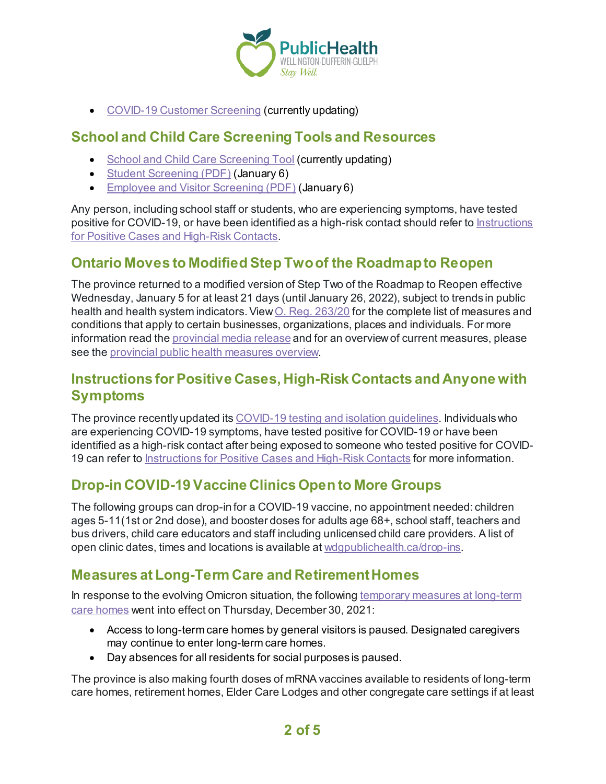

• [COVID-19 Customer Screening](https://covid-19.ontario.ca/screening/customer/) (currently updating)

### **School and Child Care Screening Tools and Resources**

- [School and Child Care Screening Tool](https://covid-19.ontario.ca/school-screening/) (currently updating)
- [Student Screening \(PDF\)](https://covid-19.ontario.ca/covid19-cms-assets/2022-01/COVID_screening_Student_Child%20Care_Jan6_AODA.pdf) (January 6)
- [Employee and Visitor Screening \(PDF\)](https://covid-19.ontario.ca/covid19-cms-assets/2022-01/COVID_screening_Staffs_Visitors_Jan6_AODA.pdf) (January 6)

Any person, including school staff or students, who are experiencing symptoms, have tested positive for COVID-19, or have been identified as a high-risk contact should refer to [Instructions](https://wdgpublichealth.ca/your-health/covid-19-information-public/instructions-positive-cases-and-high-risk-contacts)  for Positive [Cases and High-Risk Contacts.](https://wdgpublichealth.ca/your-health/covid-19-information-public/instructions-positive-cases-and-high-risk-contacts)

### **Ontario Moves to Modified Step Two of the Roadmap to Reopen**

The province returned to a modified version of Step Two of the Roadmap to Reopen effective Wednesday, January 5 for at least 21 days (until January 26, 2022), subject to trends in public health and health system indicators. View O. Reg. 263/20 for the complete list of measures and conditions that apply to certain businesses, organizations, places and individuals. For more information read th[e provincial media release](https://news.ontario.ca/en/release/1001394/ontario-temporarily-moving-to-modified-step-two-of-the-roadmap-to-reopen) and for an overview of current measures, please see the [provincial public health measures overview.](https://covid-19.ontario.ca/public-health-measures)

## **Instructions for Positive Cases, High-Risk Contacts and Anyone with Symptoms**

The province recently updated its [COVID-19 testing and isolation guidelines](https://news.ontario.ca/en/backgrounder/1001387/updated-eligibility-for-pcr-testing-and-case-and-contact-management-guidance-in-ontario). Individuals who are experiencing COVID-19 symptoms, have tested positive for COVID-19 or have been identified as a high-risk contact after being exposed to someone who tested positive for COVID-19 can refer to [Instructions for Positive Cases and High-Risk Contacts](https://wdgpublichealth.ca/your-health/covid-19-information-public/instructions-positive-cases-and-high-risk-contacts) for more information.

## **Drop-in COVID-19 Vaccine Clinics Open to More Groups**

The following groups can drop-in for a COVID-19 vaccine, no appointment needed: children ages 5-11(1st or 2nd dose), and booster doses for adults age 68+, school staff, teachers and bus drivers, child care educators and staff including unlicensed child care providers. A list of open clinic dates, times and locations is available a[t wdgpublichealth.ca/drop-ins.](https://wdgpublichealth.ca/your-health/covid-19-information-public/covid-19-vaccine-information/drop-covid-19-vaccine-clinics)

## **Measures at Long-Term Care and Retirement Homes**

In response to the evolving Omicron situation, the followin[g temporary measures at long-term](https://news.ontario.ca/en/release/1001384/ontario-taking-further-action-to-keep-long-term-care-residents-safe)  [care homes](https://news.ontario.ca/en/release/1001384/ontario-taking-further-action-to-keep-long-term-care-residents-safe) went into effect on Thursday, December 30, 2021:

- Access to long-term care homes by general visitors is paused. Designated caregivers may continue to enter long-term care homes.
- Day absences for all residents for social purposes is paused.

The province is also making fourth doses of mRNA vaccines available to residents of long-term care homes, retirement homes, Elder Care Lodges and other congregate care settings if at least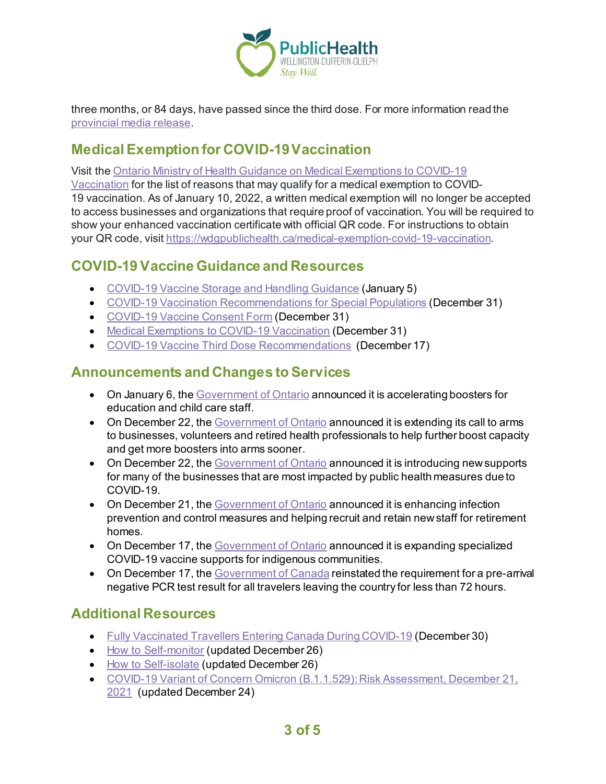

three months, or 84 days, have passed since the third dose. For more information read the [provincial media release.](https://news.ontario.ca/en/release/1001386/ontario-updating-public-health-measures-and-guidance-in-response-to-omicron)

## **Medical Exemption for COVID-19 Vaccination**

Visit the [Ontario Ministry of Health Guidance on Medical Exemptions to](https://health.gov.on.ca/en/pro/programs/publichealth/coronavirus/docs/vaccine/medical_exemptions_to_vaccination.pdf) COVID-19

[Vaccination](https://health.gov.on.ca/en/pro/programs/publichealth/coronavirus/docs/vaccine/medical_exemptions_to_vaccination.pdf) for the list of reasons that may qualify for a medical exemption to COVID-19 vaccination. As of January 10, 2022, a written medical exemption will no longer be accepted to access businesses and organizations that require proof of vaccination. You will be required to show your enhanced vaccination certificate with official QR code. For instructions to obtain your QR code, visit<https://wdgpublichealth.ca/medical-exemption-covid-19-vaccination>.

## **COVID-19 Vaccine Guidance and Resources**

- [COVID-19 Vaccine Storage and Handling Guidance](https://www.health.gov.on.ca/en/pro/programs/publichealth/coronavirus/docs/vaccine/vaccine_storage_handling_pfizer_moderna.pdf) (January 5)
- [COVID-19 Vaccination Recommendations for Special Populations](https://www.health.gov.on.ca/en/pro/programs/publichealth/coronavirus/docs/vaccine/COVID-19_vaccination_rec_special_populations.pdf) (December 31)
- [COVID-19 Vaccine Consent Form](https://www.health.gov.on.ca/en/pro/programs/publichealth/coronavirus/docs/vaccine/COVID-19_vaccine_consent_form.pdf) (December 31)
- [Medical Exemptions to COVID-19 Vaccination](https://www.health.gov.on.ca/en/pro/programs/publichealth/coronavirus/docs/vaccine/medical_exemptions_to_vaccination.pdf) (December 31)
- [COVID-19 Vaccine Third Dose Recommendations](https://www.health.gov.on.ca/en/pro/programs/publichealth/coronavirus/docs/vaccine/COVID-19_vaccine_third_dose_recommendations.pdf) (December 17)

## **Announcements and Changes to Services**

- On January 6, the [Government of Ontario](https://news.ontario.ca/en/statement/1001398/ontario-accelerating-boosters-for-education-and-child-care-staff) announced it is accelerating boosters for education and child care staff.
- On December 22, th[e Government of Ontario](https://news.ontario.ca/en/release/1001375/ontario-extending-call-to-arms-to-businesses-volunteers-and-retired-health-professionals) announced it is extending its call to arms to businesses, volunteers and retired health professionals to help further boost capacity and get more boosters into arms sooner.
- On December 22, th[e Government of Ontario](https://news.ontario.ca/en/release/1001372/ontario-launches-new-supports-for-businesses) announced it is introducing new supports for many of the businesses that are most impacted by public health measures due to COVID-19.
- On December 21, th[e Government of Ontario](https://news.ontario.ca/en/release/1001368/ontario-investing-in-more-supports-for-retirement-homes) announced it is enhancing infection prevention and control measures and helping recruit and retain new staff for retirement homes.
- On December 17, th[e Government of Ontario](https://news.ontario.ca/en/release/1001301/ontario-expanding-specialized-covid-19-vaccine-supports-for-indigenous-communities) announced it is expanding specialized COVID-19 vaccine supports for indigenous communities.
- On December 17, th[e Government of Canada](https://www.canada.ca/en/public-health/news/2021/12/government-of-canada-announces-additional-measures-to-contain-the-spread-of-the-omicron-variant.html) reinstated the requirement for a pre-arrival negative PCR test result for all travelers leaving the country for less than 72 hours.

### **Additional Resources**

- [Fully Vaccinated Travellers Entering Canada During COVID-19](https://www.canada.ca/en/public-health/services/publications/diseases-conditions/fully-vaccinated-travellers-entering-canada-covid-19.html) (December 30)
- [How to Self-monitor](https://www.publichealthontario.ca/-/media/documents/ncov/factsheet-covid-19-self-monitor.pdf?la=en&sc_lang=en&hash=8E539D05043A6775297935CEE32A8BF6) (updated December 26)
- [How to Self-isolate](https://www.publichealthontario.ca/-/media/documents/ncov/factsheet-covid-19-how-to-self-isolate.pdf?la=en&sc_lang=en&hash=6AC2FC13CD319D468E40692918993AFD) (updated December 26)
- [COVID-19 Variant of Concern Omicron \(B.1.1.529\): Risk Assessment, December 21,](https://www.publichealthontario.ca/-/media/documents/ncov/voc/2021/12/covid-19-omicron-b11529-risk-assessment.pdf?sc_lang=en)  [2021](https://www.publichealthontario.ca/-/media/documents/ncov/voc/2021/12/covid-19-omicron-b11529-risk-assessment.pdf?sc_lang=en) (updated December 24)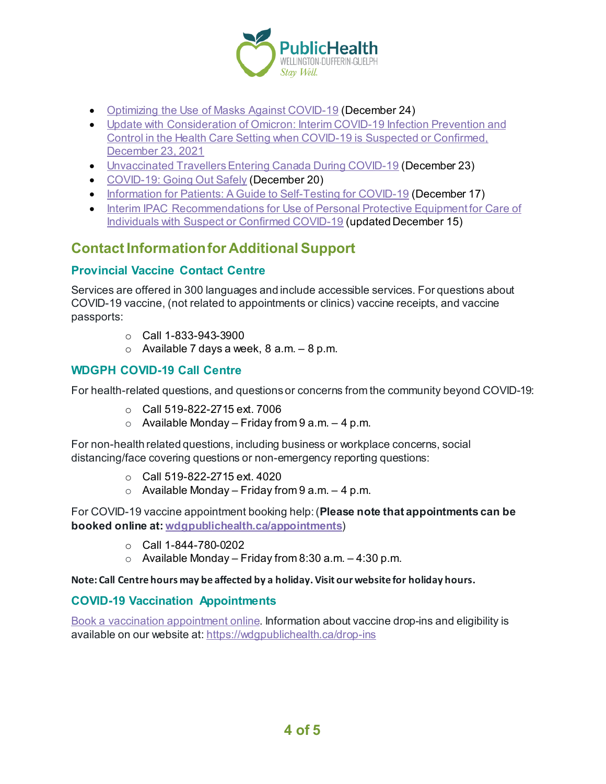

- [Optimizing the Use of Masks Against COVID-19](https://www.publichealthontario.ca/-/media/documents/ncov/covid-19-fact-sheet-optimizing-masks.pdf?sc_lang=en&hash=EDA29B0E81CDCFBAC2CED5869A20AE83) (December 24)
- [Update with Consideration of Omicron: Interim COVID-19 Infection Prevention and](https://www.canada.ca/en/public-health/services/diseases/2019-novel-coronavirus-infection/guidance-documents/omicron-infection-prevention-control-health-care-settings-covid-19-suspected-confirmed.html)  [Control in the Health Care Setting when COVID-19 is Suspected or Confirmed,](https://www.canada.ca/en/public-health/services/diseases/2019-novel-coronavirus-infection/guidance-documents/omicron-infection-prevention-control-health-care-settings-covid-19-suspected-confirmed.html)  [December 23, 2021](https://www.canada.ca/en/public-health/services/diseases/2019-novel-coronavirus-infection/guidance-documents/omicron-infection-prevention-control-health-care-settings-covid-19-suspected-confirmed.html)
- [Unvaccinated Travellers Entering Canada During COVID-19](https://www.canada.ca/en/public-health/services/publications/diseases-conditions/unvaccinated-travellers-entering-canada-covid-19.html) (December 23)
- [COVID-19: Going Out Safely](https://www.canada.ca/en/public-health/services/publications/diseases-conditions/covid-19-going-out-safely.html) (December 20)
- [Information for Patients: A Guide to Self-Testing for COVID-19](https://www.canada.ca/en/public-health/services/diseases/coronavirus-disease-covid-19/testing-screening-contact-tracing/information-patients-guide-self-testing.html) (December 17)
- Interim IPAC Recommendations for Use of Personal Protective Equipment for Care of [Individuals with Suspect or Confirmed COVID-19](https://www.publichealthontario.ca/-/media/documents/ncov/updated-ipac-measures-covid-19.pdf?sc_lang=en) (updated December 15)

## **Contact Information for Additional Support**

#### **Provincial Vaccine Contact Centre**

Services are offered in 300 languages and include accessible services. For questions about COVID-19 vaccine, (not related to appointments or clinics) vaccine receipts, and vaccine passports:

- $\circ$  Call 1-833-943-3900
- $\circ$  Available 7 days a week, 8 a.m.  $-8$  p.m.

#### **WDGPH COVID-19 Call Centre**

For health-related questions, and questions or concerns from the community beyond COVID-19:

- $\circ$  Call 519-822-2715 ext. 7006
- $\circ$  Available Monday Friday from 9 a.m. 4 p.m.

For non-health related questions, including business or workplace concerns, social distancing/face covering questions or non-emergency reporting questions:

- o Call 519-822-2715 ext. 4020
- $\circ$  Available Monday Friday from 9 a.m. 4 p.m.

For COVID-19 vaccine appointment booking help: (**Please note that appointments can be booked online at: [wdgpublichealth.ca/appointments](https://wdgpublichealth.ca/appointments)**)

- o Call 1-844-780-0202
- $\circ$  Available Monday Friday from 8:30 a.m. 4:30 p.m.

#### **Note: Call Centre hours may be affected by a holiday. Visit our website for holiday hours.**

#### **COVID-19 Vaccination Appointments**

[Book a vaccination appointment online.](https://www.wdgpublichealth.ca/appointments) Information about vaccine drop-ins and eligibility is available on our website at[: https://wdgpublichealth.ca/drop-ins](https://wdgpublichealth.ca/drop-ins)